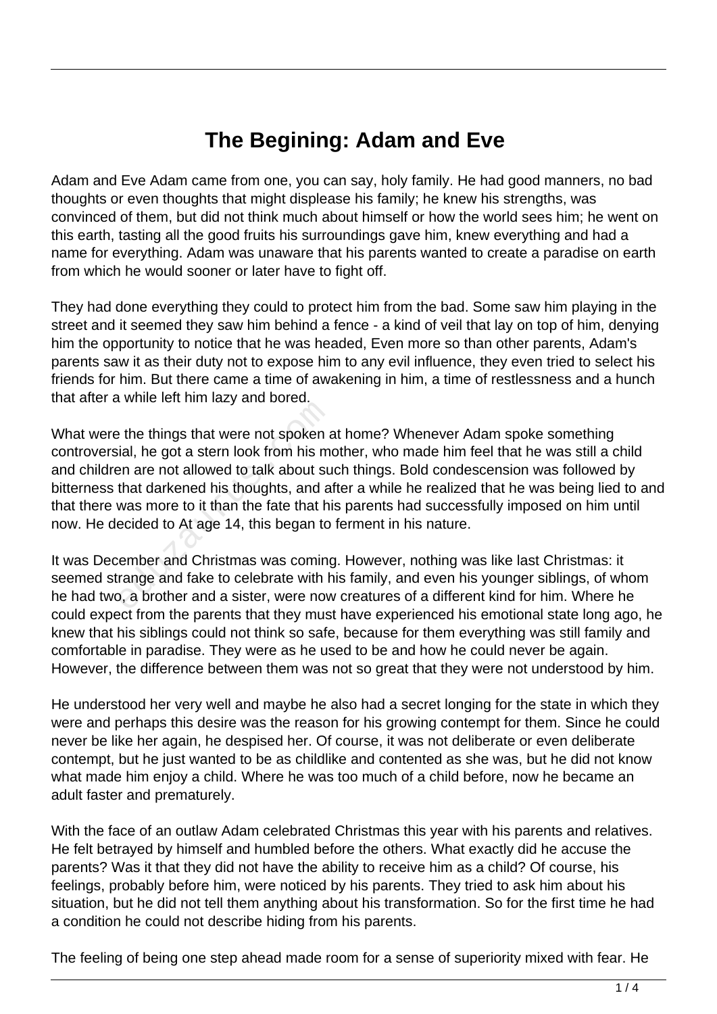## **The Begining: Adam and Eve**

Adam and Eve Adam came from one, you can say, holy family. He had good manners, no bad thoughts or even thoughts that might displease his family; he knew his strengths, was convinced of them, but did not think much about himself or how the world sees him; he went on this earth, tasting all the good fruits his surroundings gave him, knew everything and had a name for everything. Adam was unaware that his parents wanted to create a paradise on earth from which he would sooner or later have to fight off.

They had done everything they could to protect him from the bad. Some saw him playing in the street and it seemed they saw him behind a fence - a kind of veil that lay on top of him, denying him the opportunity to notice that he was headed, Even more so than other parents, Adam's parents saw it as their duty not to expose him to any evil influence, they even tried to select his friends for him. But there came a time of awakening in him, a time of restlessness and a hunch that after a while left him lazy and bored.

What were the things that were not spoken at home? Whenever Adam spoke something controversial, he got a stern look from his mother, who made him feel that he was still a child and children are not allowed to talk about such things. Bold condescension was followed by bitterness that darkened his thoughts, and after a while he realized that he was being lied to and that there was more to it than the fate that his parents had successfully imposed on him until now. He decided to At age 14, this began to ferment in his nature. The things that were not spoken and the things that were not spoken and identify the got a stern look from his mean are not allowed to talk about su that darkened his thoughts, and a was more to it than the fate that his e

It was December and Christmas was coming. However, nothing was like last Christmas: it seemed strange and fake to celebrate with his family, and even his younger siblings, of whom he had two, a brother and a sister, were now creatures of a different kind for him. Where he could expect from the parents that they must have experienced his emotional state long ago, he knew that his siblings could not think so safe, because for them everything was still family and comfortable in paradise. They were as he used to be and how he could never be again. However, the difference between them was not so great that they were not understood by him.

He understood her very well and maybe he also had a secret longing for the state in which they were and perhaps this desire was the reason for his growing contempt for them. Since he could never be like her again, he despised her. Of course, it was not deliberate or even deliberate contempt, but he just wanted to be as childlike and contented as she was, but he did not know what made him enjoy a child. Where he was too much of a child before, now he became an adult faster and prematurely.

With the face of an outlaw Adam celebrated Christmas this year with his parents and relatives. He felt betrayed by himself and humbled before the others. What exactly did he accuse the parents? Was it that they did not have the ability to receive him as a child? Of course, his feelings, probably before him, were noticed by his parents. They tried to ask him about his situation, but he did not tell them anything about his transformation. So for the first time he had a condition he could not describe hiding from his parents.

The feeling of being one step ahead made room for a sense of superiority mixed with fear. He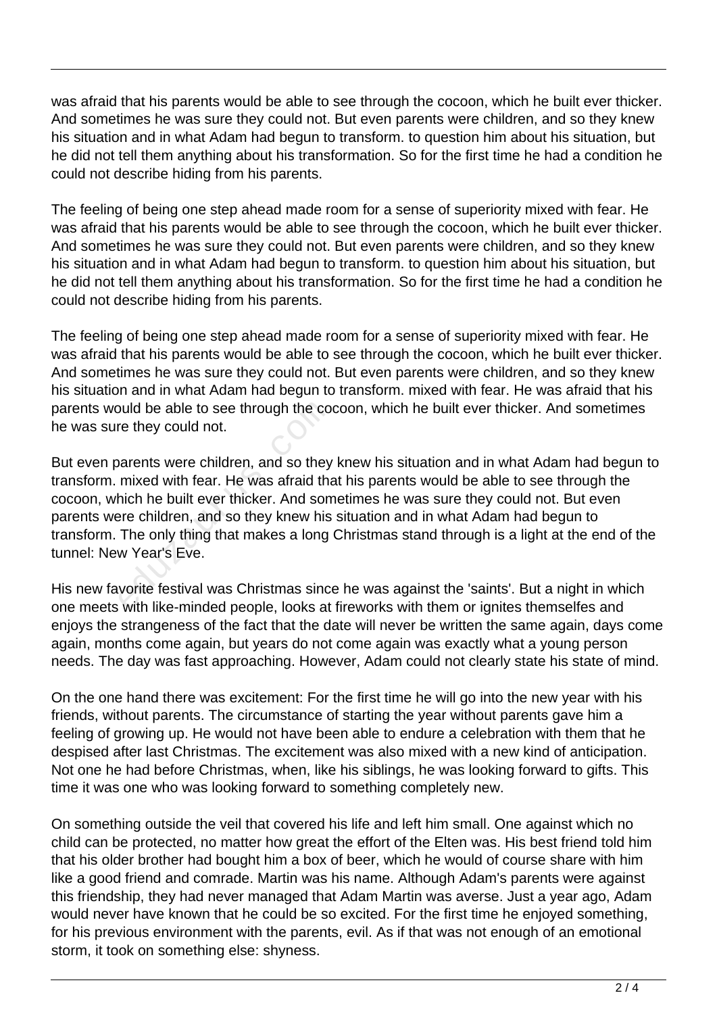was afraid that his parents would be able to see through the cocoon, which he built ever thicker. And sometimes he was sure they could not. But even parents were children, and so they knew his situation and in what Adam had begun to transform. to question him about his situation, but he did not tell them anything about his transformation. So for the first time he had a condition he could not describe hiding from his parents.

The feeling of being one step ahead made room for a sense of superiority mixed with fear. He was afraid that his parents would be able to see through the cocoon, which he built ever thicker. And sometimes he was sure they could not. But even parents were children, and so they knew his situation and in what Adam had begun to transform. to question him about his situation, but he did not tell them anything about his transformation. So for the first time he had a condition he could not describe hiding from his parents.

The feeling of being one step ahead made room for a sense of superiority mixed with fear. He was afraid that his parents would be able to see through the cocoon, which he built ever thicker. And sometimes he was sure they could not. But even parents were children, and so they knew his situation and in what Adam had begun to transform. mixed with fear. He was afraid that his parents would be able to see through the cocoon, which he built ever thicker. And sometimes he was sure they could not.

But even parents were children, and so they knew his situation and in what Adam had begun to transform. mixed with fear. He was afraid that his parents would be able to see through the cocoon, which he built ever thicker. And sometimes he was sure they could not. But even parents were children, and so they knew his situation and in what Adam had begun to transform. The only thing that makes a long Christmas stand through is a light at the end of the tunnel: New Year's Eve. buld be able to see through the comparents were children, and so they<br>mixed with fear. He was afraid that<br>hich he built ever thicker. And some<br>pre children, and so they knew his<br>The only thing that makes a long<br>w Year's Ev

His new favorite festival was Christmas since he was against the 'saints'. But a night in which one meets with like-minded people, looks at fireworks with them or ignites themselfes and enjoys the strangeness of the fact that the date will never be written the same again, days come again, months come again, but years do not come again was exactly what a young person needs. The day was fast approaching. However, Adam could not clearly state his state of mind.

On the one hand there was excitement: For the first time he will go into the new year with his friends, without parents. The circumstance of starting the year without parents gave him a feeling of growing up. He would not have been able to endure a celebration with them that he despised after last Christmas. The excitement was also mixed with a new kind of anticipation. Not one he had before Christmas, when, like his siblings, he was looking forward to gifts. This time it was one who was looking forward to something completely new.

On something outside the veil that covered his life and left him small. One against which no child can be protected, no matter how great the effort of the Elten was. His best friend told him that his older brother had bought him a box of beer, which he would of course share with him like a good friend and comrade. Martin was his name. Although Adam's parents were against this friendship, they had never managed that Adam Martin was averse. Just a year ago, Adam would never have known that he could be so excited. For the first time he enjoyed something, for his previous environment with the parents, evil. As if that was not enough of an emotional storm, it took on something else: shyness.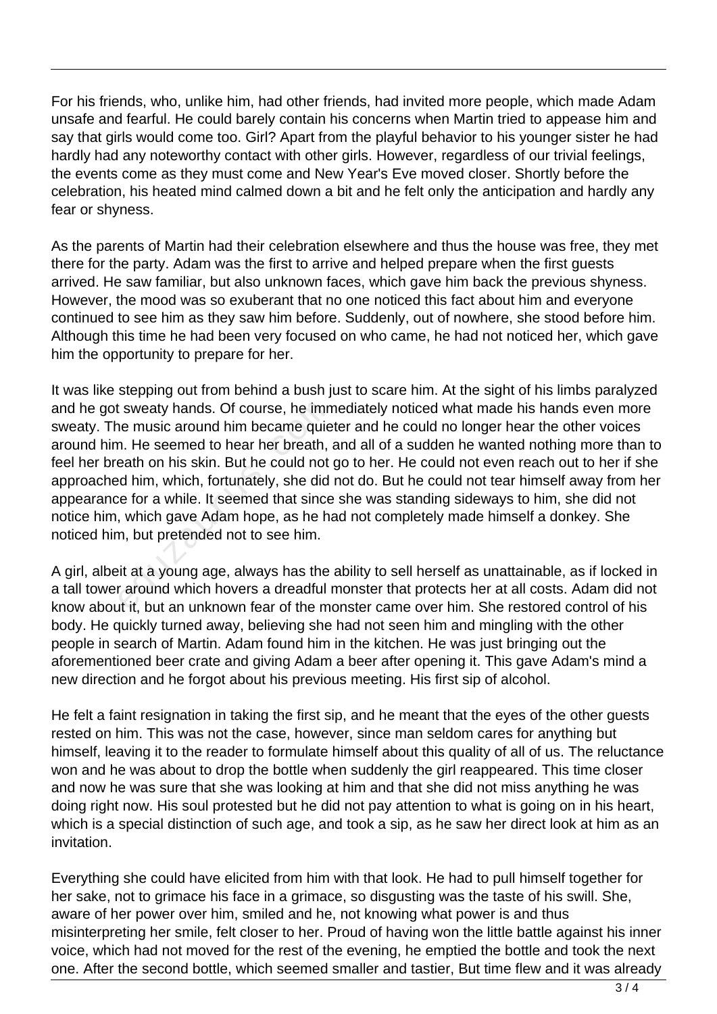For his friends, who, unlike him, had other friends, had invited more people, which made Adam unsafe and fearful. He could barely contain his concerns when Martin tried to appease him and say that girls would come too. Girl? Apart from the playful behavior to his younger sister he had hardly had any noteworthy contact with other girls. However, regardless of our trivial feelings, the events come as they must come and New Year's Eve moved closer. Shortly before the celebration, his heated mind calmed down a bit and he felt only the anticipation and hardly any fear or shyness.

As the parents of Martin had their celebration elsewhere and thus the house was free, they met there for the party. Adam was the first to arrive and helped prepare when the first guests arrived. He saw familiar, but also unknown faces, which gave him back the previous shyness. However, the mood was so exuberant that no one noticed this fact about him and everyone continued to see him as they saw him before. Suddenly, out of nowhere, she stood before him. Although this time he had been very focused on who came, he had not noticed her, which gave him the opportunity to prepare for her.

It was like stepping out from behind a bush just to scare him. At the sight of his limbs paralyzed and he got sweaty hands. Of course, he immediately noticed what made his hands even more sweaty. The music around him became quieter and he could no longer hear the other voices around him. He seemed to hear her breath, and all of a sudden he wanted nothing more than to feel her breath on his skin. But he could not go to her. He could not even reach out to her if she approached him, which, fortunately, she did not do. But he could not tear himself away from her appearance for a while. It seemed that since she was standing sideways to him, she did not notice him, which gave Adam hope, as he had not completely made himself a donkey. She noticed him, but pretended not to see him. I sweaty hands. Of course, he imn<br>ne music around him became quie<br>n. He seemed to hear her breath,<br>eath on his skin. But he could not<br>id him, which, fortunately, she did<br>ne for a while. It seemed that since<br>which gave Adam

A girl, albeit at a young age, always has the ability to sell herself as unattainable, as if locked in a tall tower around which hovers a dreadful monster that protects her at all costs. Adam did not know about it, but an unknown fear of the monster came over him. She restored control of his body. He quickly turned away, believing she had not seen him and mingling with the other people in search of Martin. Adam found him in the kitchen. He was just bringing out the aforementioned beer crate and giving Adam a beer after opening it. This gave Adam's mind a new direction and he forgot about his previous meeting. His first sip of alcohol.

He felt a faint resignation in taking the first sip, and he meant that the eyes of the other guests rested on him. This was not the case, however, since man seldom cares for anything but himself, leaving it to the reader to formulate himself about this quality of all of us. The reluctance won and he was about to drop the bottle when suddenly the girl reappeared. This time closer and now he was sure that she was looking at him and that she did not miss anything he was doing right now. His soul protested but he did not pay attention to what is going on in his heart, which is a special distinction of such age, and took a sip, as he saw her direct look at him as an invitation.

Everything she could have elicited from him with that look. He had to pull himself together for her sake, not to grimace his face in a grimace, so disgusting was the taste of his swill. She, aware of her power over him, smiled and he, not knowing what power is and thus misinterpreting her smile, felt closer to her. Proud of having won the little battle against his inner voice, which had not moved for the rest of the evening, he emptied the bottle and took the next one. After the second bottle, which seemed smaller and tastier, But time flew and it was already